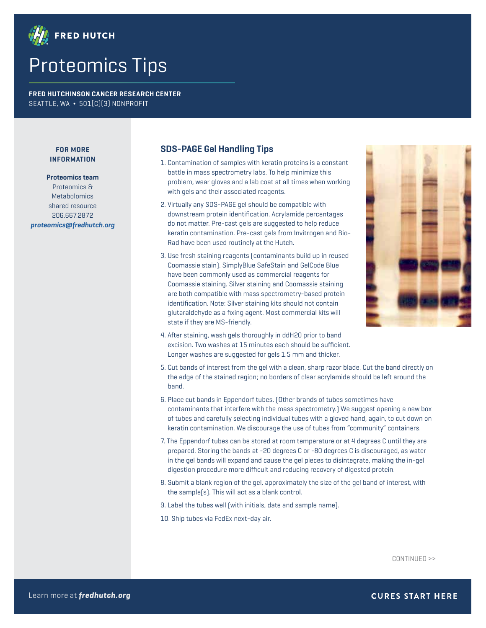

## Proteomics Tips

**FRED HUTCHINSON CANCER RESEARCH CENTER** SEATTLE, WA **¬** 501(C)(3) NONPROFIT

## **FOR MORE INFORMATION**

**Proteomics team** Proteomics & Metabolomics shared resource 206.667.2872 **[proteomics@fredhutch.org](mailto:proteomics%40fredhutch.org?subject=Proteomics%20Tips)**

## **SDS-PAGE Gel Handling Tips**

- 1. Contamination of samples with keratin proteins is a constant battle in mass spectrometry labs. To help minimize this problem, wear gloves and a lab coat at all times when working with gels and their associated reagents.
- 2. Virtually any SDS-PAGE gel should be compatible with downstream protein identification. Acrylamide percentages do not matter. Pre-cast gels are suggested to help reduce keratin contamination. Pre-cast gels from Invitrogen and Bio-Rad have been used routinely at the Hutch.
- 3. Use fresh staining reagents (contaminants build up in reused Coomassie stain). SimplyBlue SafeStain and GelCode Blue have been commonly used as commercial reagents for Coomassie staining. Silver staining and Coomassie staining are both compatible with mass spectrometry-based protein identification. Note: Silver staining kits should not contain glutaraldehyde as a fixing agent. Most commercial kits will state if they are MS-friendly.



- 4. After staining, wash gels thoroughly in ddH20 prior to band excision. Two washes at 15 minutes each should be sufficient. Longer washes are suggested for gels 1.5 mm and thicker.
- 5. Cut bands of interest from the gel with a clean, sharp razor blade. Cut the band directly on the edge of the stained region; no borders of clear acrylamide should be left around the band.
- 6. Place cut bands in Eppendorf tubes. (Other brands of tubes sometimes have contaminants that interfere with the mass spectrometry.) We suggest opening a new box of tubes and carefully selecting individual tubes with a gloved hand, again, to cut down on keratin contamination. We discourage the use of tubes from "community" containers.
- 7. The Eppendorf tubes can be stored at room temperature or at 4 degrees C until they are prepared. Storing the bands at -20 degrees C or -80 degrees C is discouraged, as water in the gel bands will expand and cause the gel pieces to disintegrate, making the in-gel digestion procedure more difficult and reducing recovery of digested protein.
- 8. Submit a blank region of the gel, approximately the size of the gel band of interest, with the sample(s). This will act as a blank control.

9. Label the tubes well (with initials, date and sample name).

10. Ship tubes via FedEx next-day air.

CONTINUED >>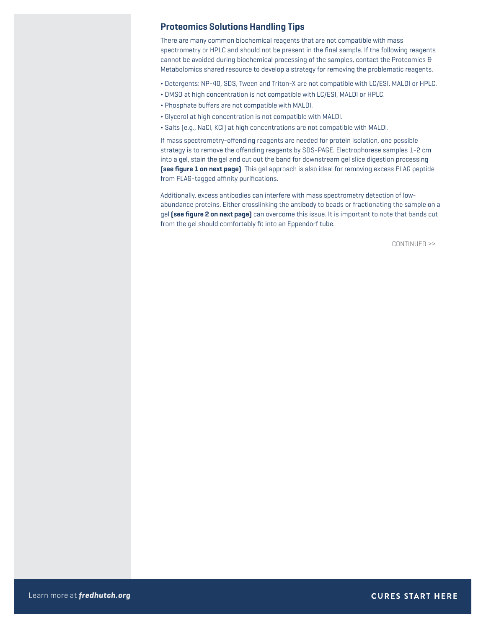## **Proteomics Solutions Handling Tips**

There are many common biochemical reagents that are not compatible with mass spectrometry or HPLC and should not be present in the final sample. If the following reagents cannot be avoided during biochemical processing of the samples, contact the Proteomics & Metabolomics shared resource to develop a strategy for removing the problematic reagents.

- ¬ Detergents: NP-40, SDS, Tween and Triton-X are not compatible with LC/ESI, MALDI or HPLC.
- ¬ DMSO at high concentration is not compatible with LC/ESI, MALDI or HPLC.
- ¬ Phosphate buffers are not compatible with MALDI.
- ¬ Glycerol at high concentration is not compatible with MALDI.
- ¬ Salts (e.g., NaCl, KCl) at high concentrations are not compatible with MALDI.

If mass spectrometry-offending reagents are needed for protein isolation, one possible strategy is to remove the offending reagents by SDS-PAGE. Electrophorese samples 1-2 cm into a gel, stain the gel and cut out the band for downstream gel slice digestion processing **(see figure 1 on next page)**. This gel approach is also ideal for removing excess FLAG peptide from FLAG-tagged affinity purifications.

Additionally, excess antibodies can interfere with mass spectrometry detection of lowabundance proteins. Either crosslinking the antibody to beads or fractionating the sample on a gel **(see figure 2 on next page)** can overcome this issue. It is important to note that bands cut from the gel should comfortably fit into an Eppendorf tube.

CONTINUED >>